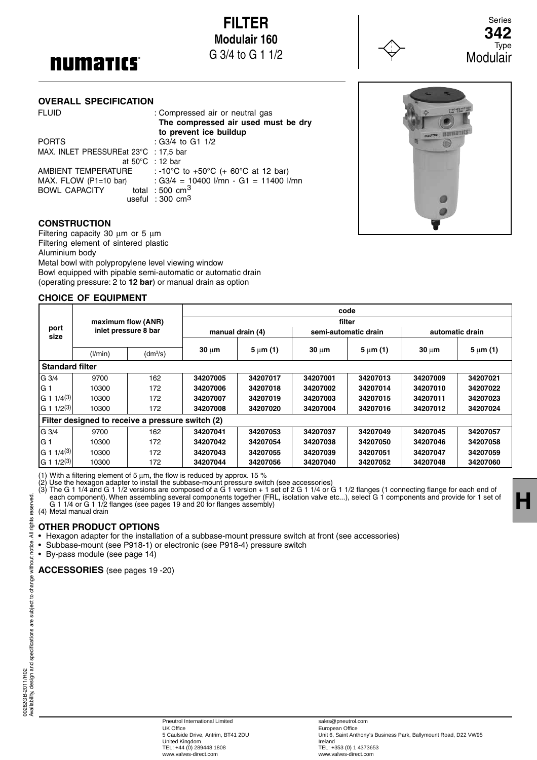# **numarics**

**OVERALL SPECIFICATION**

**FILTER [Modulair 160](http://www.a-pdf.com/?tr-demo)** G 3/4 to G 1 1/2



Series **342** Type Modulair

# **The compressed air used must be dry** numarı G MAX. FLOW (P1=10 bar) : G3/4 = 10400 l/mn - G1 = 11400 l/mn

#### **CONSTRUCTION**

Filtering capacity 30 μm or 5 μm Filtering element of sintered plastic Aluminium body Metal bowl with polypropylene level viewing window Bowl equipped with pipable semi-automatic or automatic drain (operating pressure: 2 to **12 bar**) or manual drain as option

FLUID : Compressed air or neutral gas

 at 50°C : 12 bar AMBIENT TEMPERATURE : -10°C to +50°C (+ 60°C at 12 bar)

useful : 300 cm3

PORTS : G3/4 to G1 1/2 MAX. INLET PRESSUREat 23°C : 17,5 bar

BOWL CAPACITY total : 500 cm<sup>3</sup>

 **to prevent ice buildup**

#### **CHOICE OF EQUIPMENT**

| port<br>size                                     | maximum flow (ANR)<br>inlet pressure 8 bar |                      | code             |               |                      |               |                 |               |
|--------------------------------------------------|--------------------------------------------|----------------------|------------------|---------------|----------------------|---------------|-----------------|---------------|
|                                                  |                                            |                      | filter           |               |                      |               |                 |               |
|                                                  |                                            |                      | manual drain (4) |               | semi-automatic drain |               | automatic drain |               |
|                                                  |                                            |                      |                  |               |                      |               |                 |               |
|                                                  | (1/min)                                    | (dm <sup>3</sup> /s) | $30 \mu m$       | $5 \mu m (1)$ | $30 \mu m$           | $5 \mu m$ (1) | $30 \mu m$      | $5 \mu m$ (1) |
| <b>Standard filter</b>                           |                                            |                      |                  |               |                      |               |                 |               |
| G 3/4                                            | 9700                                       | 162                  | 34207005         | 34207017      | 34207001             | 34207013      | 34207009        | 34207021      |
| IG 1                                             | 10300                                      | 172                  | 34207006         | 34207018      | 34207002             | 34207014      | 34207010        | 34207022      |
| G 1 1/4(3)                                       | 10300                                      | 172                  | 34207007         | 34207019      | 34207003             | 34207015      | 34207011        | 34207023      |
| $ G 1 1/2^{(3)} $                                | 10300                                      | 172                  | 34207008         | 34207020      | 34207004             | 34207016      | 34207012        | 34207024      |
| Filter designed to receive a pressure switch (2) |                                            |                      |                  |               |                      |               |                 |               |
| G 3/4                                            | 9700                                       | 162                  | 34207041         | 34207053      | 34207037             | 34207049      | 34207045        | 34207057      |
| IG 1                                             | 10300                                      | 172                  | 34207042         | 34207054      | 34207038             | 34207050      | 34207046        | 34207058      |
| $ G 1 1/4^{(3)} $                                | 10300                                      | 172                  | 34207043         | 34207055      | 34207039             | 34207051      | 34207047        | 34207059      |
| G 1 1/2 <sup>(3)</sup>                           | 10300                                      | 172                  | 34207044         | 34207056      | 34207040             | 34207052      | 34207048        | 34207060      |

(1) With a filtering element of 5 μm, the flow is reduced by approx. 15 %

(2) Use the hexagon adapter to install the subbase-mount pressure switch (see accessories)

(3) The G 1 1/4 and G 1 1/2 versions are composed of a G 1 version  $+$  1 set of 2 G 1 1/4 or G 1 1/2 flanges (1 connecting flange for each end of each component). When assembling several components together (FRL, isolation valve etc...), select G 1 components and provide for 1 set of G 1 1/4 or G 1 1/2 flanges (see pages 19 and 20 for flanges assembly)

(4) Metal manual drain

#### **OTHER PRODUCT OPTIONS**

• Hexagon adapter for the installation of a subbase-mount pressure switch at front (see accessories)

• Subbase-mount (see P918-1) or electronic (see P918-4) pressure switch

• By-pass module (see page 14)

**ACCESSORIES** (see pages 19 -20)

**H**